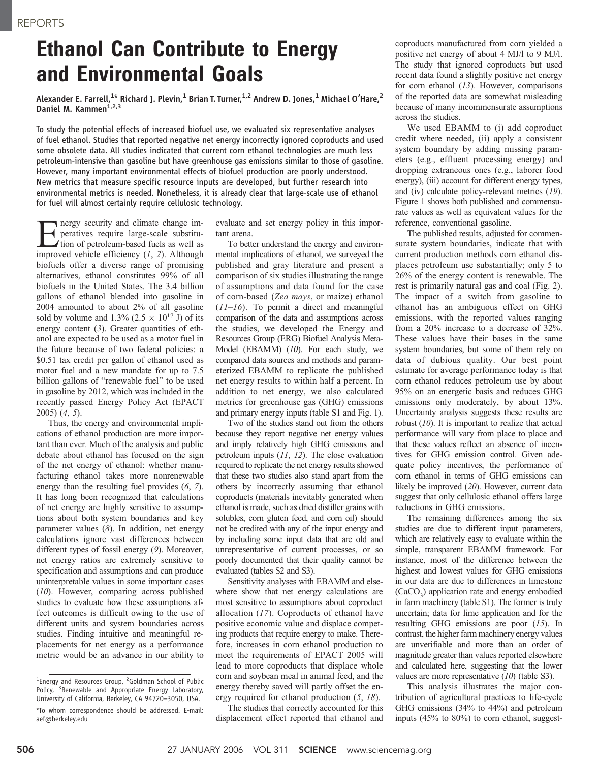## Ethanol Can Contribute to Energy and Environmental Goals

Alexander E. Farrell, $^{1\star}$  Richard J. Plevin, $^{1}$  Brian T. Turner, $^{1,2}$  Andrew D. Jones, $^{1}$  Michael O'Hare, $^{2}$ Daniel M. Kammen<sup>1,2,3</sup>

To study the potential effects of increased biofuel use, we evaluated six representative analyses of fuel ethanol. Studies that reported negative net energy incorrectly ignored coproducts and used some obsolete data. All studies indicated that current corn ethanol technologies are much less petroleum-intensive than gasoline but have greenhouse gas emissions similar to those of gasoline. However, many important environmental effects of biofuel production are poorly understood. New metrics that measure specific resource inputs are developed, but further research into environmental metrics is needed. Nonetheless, it is already clear that large-scale use of ethanol for fuel will almost certainly require cellulosic technology.

Energy security and climate change im-<br>peratives require large-scale substitu-<br>tion of petroleum-based fuels as well as<br>improved vehicle efficiency (1, 2). Although peratives require large-scale substituimproved vehicle efficiency  $(1, 2)$ . Although biofuels offer a diverse range of promising alternatives, ethanol constitutes 99% of all biofuels in the United States. The 3.4 billion gallons of ethanol blended into gasoline in 2004 amounted to about 2% of all gasoline sold by volume and 1.3% (2.5  $\times$  10<sup>17</sup> J) of its energy content  $(3)$ . Greater quantities of ethanol are expected to be used as a motor fuel in the future because of two federal policies: a /0.51 tax credit per gallon of ethanol used as motor fuel and a new mandate for up to 7.5 billion gallons of "renewable fuel" to be used in gasoline by 2012, which was included in the recently passed Energy Policy Act (EPACT 2005) (4, 5).

Thus, the energy and environmental implications of ethanol production are more important than ever. Much of the analysis and public debate about ethanol has focused on the sign of the net energy of ethanol: whether manufacturing ethanol takes more nonrenewable energy than the resulting fuel provides  $(6, 7)$ . It has long been recognized that calculations of net energy are highly sensitive to assumptions about both system boundaries and key parameter values (8). In addition, net energy calculations ignore vast differences between different types of fossil energy (9). Moreover, net energy ratios are extremely sensitive to specification and assumptions and can produce uninterpretable values in some important cases (10). However, comparing across published studies to evaluate how these assumptions affect outcomes is difficult owing to the use of different units and system boundaries across studies. Finding intuitive and meaningful replacements for net energy as a performance metric would be an advance in our ability to

evaluate and set energy policy in this important arena.

To better understand the energy and environmental implications of ethanol, we surveyed the published and gray literature and present a comparison of six studies illustrating the range of assumptions and data found for the case of corn-based (Zea mays, or maize) ethanol  $(11–16)$ . To permit a direct and meaningful comparison of the data and assumptions across the studies, we developed the Energy and Resources Group (ERG) Biofuel Analysis Meta-Model (EBAMM) (10). For each study, we compared data sources and methods and parameterized EBAMM to replicate the published net energy results to within half a percent. In addition to net energy, we also calculated metrics for greenhouse gas (GHG) emissions and primary energy inputs (table S1 and Fig. 1).

Two of the studies stand out from the others because they report negative net energy values and imply relatively high GHG emissions and petroleum inputs (11, 12). The close evaluation required to replicate the net energy results showed that these two studies also stand apart from the others by incorrectly assuming that ethanol coproducts (materials inevitably generated when ethanol is made, such as dried distiller grains with solubles, corn gluten feed, and corn oil) should not be credited with any of the input energy and by including some input data that are old and unrepresentative of current processes, or so poorly documented that their quality cannot be evaluated (tables S2 and S3).

Sensitivity analyses with EBAMM and elsewhere show that net energy calculations are most sensitive to assumptions about coproduct allocation  $(17)$ . Coproducts of ethanol have positive economic value and displace competing products that require energy to make. Therefore, increases in corn ethanol production to meet the requirements of EPACT 2005 will lead to more coproducts that displace whole corn and soybean meal in animal feed, and the energy thereby saved will partly offset the energy required for ethanol production (5, 18).

The studies that correctly accounted for this displacement effect reported that ethanol and coproducts manufactured from corn yielded a positive net energy of about 4 MJ/l to 9 MJ/l. The study that ignored coproducts but used recent data found a slightly positive net energy for corn ethanol  $(13)$ . However, comparisons of the reported data are somewhat misleading because of many incommensurate assumptions across the studies.

We used EBAMM to (i) add coproduct credit where needed, (ii) apply a consistent system boundary by adding missing parameters (e.g., effluent processing energy) and dropping extraneous ones (e.g., laborer food energy), (iii) account for different energy types, and (iv) calculate policy-relevant metrics (19). Figure 1 shows both published and commensurate values as well as equivalent values for the reference, conventional gasoline.

The published results, adjusted for commensurate system boundaries, indicate that with current production methods corn ethanol displaces petroleum use substantially; only 5 to 26% of the energy content is renewable. The rest is primarily natural gas and coal (Fig. 2). The impact of a switch from gasoline to ethanol has an ambiguous effect on GHG emissions, with the reported values ranging from a 20% increase to a decrease of 32%. These values have their bases in the same system boundaries, but some of them rely on data of dubious quality. Our best point estimate for average performance today is that corn ethanol reduces petroleum use by about 95% on an energetic basis and reduces GHG emissions only moderately, by about 13%. Uncertainty analysis suggests these results are robust  $(10)$ . It is important to realize that actual performance will vary from place to place and that these values reflect an absence of incentives for GHG emission control. Given adequate policy incentives, the performance of corn ethanol in terms of GHG emissions can likely be improved (20). However, current data suggest that only cellulosic ethanol offers large reductions in GHG emissions.

The remaining differences among the six studies are due to different input parameters, which are relatively easy to evaluate within the simple, transparent EBAMM framework. For instance, most of the difference between the highest and lowest values for GHG emissions in our data are due to differences in limestone  $(CaCO<sub>3</sub>)$  application rate and energy embodied in farm machinery (table S1). The former is truly uncertain; data for lime application and for the resulting GHG emissions are poor (15). In contrast, the higher farm machinery energy values are unverifiable and more than an order of magnitude greater than values reported elsewhere and calculated here, suggesting that the lower values are more representative (10) (table S3).

This analysis illustrates the major contribution of agricultural practices to life-cycle GHG emissions (34% to 44%) and petroleum inputs (45% to 80%) to corn ethanol, suggest-

<sup>&</sup>lt;sup>1</sup>Energy and Resources Group, <sup>2</sup>Goldman School of Public Policy, <sup>3</sup> Renewable and Appropriate Energy Laboratory, University of California, Berkeley, CA 94720–3050, USA. \*To whom correspondence should be addressed. E-mail: aef@berkeley.edu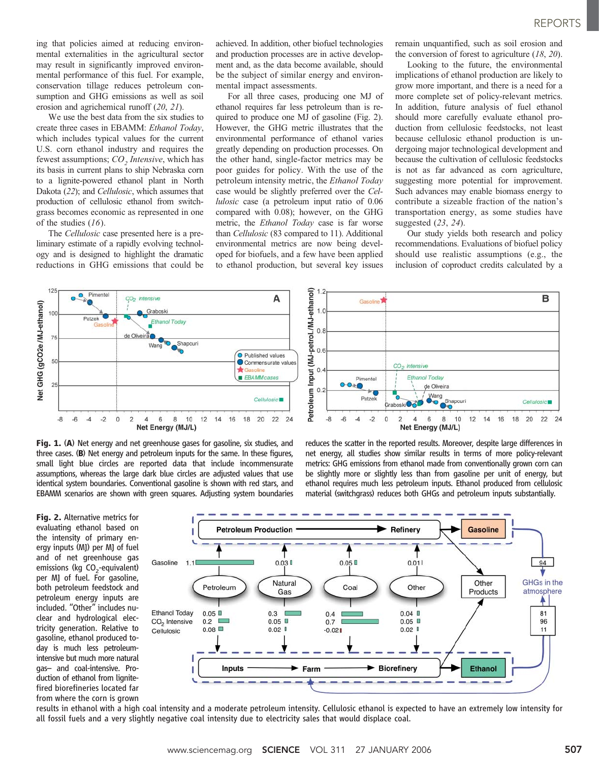ing that policies aimed at reducing environmental externalities in the agricultural sector may result in significantly improved environmental performance of this fuel. For example, conservation tillage reduces petroleum consumption and GHG emissions as well as soil erosion and agrichemical runoff (20, 21).

We use the best data from the six studies to create three cases in EBAMM: Ethanol Today, which includes typical values for the current U.S. corn ethanol industry and requires the fewest assumptions;  $CO$ , Intensive, which has its basis in current plans to ship Nebraska corn to a lignite-powered ethanol plant in North Dakota (22); and Cellulosic, which assumes that production of cellulosic ethanol from switchgrass becomes economic as represented in one of the studies  $(16)$ .

The Cellulosic case presented here is a preliminary estimate of a rapidly evolving technology and is designed to highlight the dramatic reductions in GHG emissions that could be

achieved. In addition, other biofuel technologies and production processes are in active development and, as the data become available, should be the subject of similar energy and environmental impact assessments.

For all three cases, producing one MJ of ethanol requires far less petroleum than is required to produce one MJ of gasoline (Fig. 2). However, the GHG metric illustrates that the environmental performance of ethanol varies greatly depending on production processes. On the other hand, single-factor metrics may be poor guides for policy. With the use of the petroleum intensity metric, the Ethanol Today case would be slightly preferred over the Cellulosic case (a petroleum input ratio of 0.06 compared with 0.08); however, on the GHG metric, the Ethanol Today case is far worse than Cellulosic (83 compared to 11). Additional environmental metrics are now being developed for biofuels, and a few have been applied to ethanol production, but several key issues

remain unquantified, such as soil erosion and the conversion of forest to agriculture  $(18, 20)$ .

Looking to the future, the environmental implications of ethanol production are likely to grow more important, and there is a need for a more complete set of policy-relevant metrics. In addition, future analysis of fuel ethanol should more carefully evaluate ethanol production from cellulosic feedstocks, not least because cellulosic ethanol production is undergoing major technological development and because the cultivation of cellulosic feedstocks is not as far advanced as corn agriculture, suggesting more potential for improvement. Such advances may enable biomass energy to contribute a sizeable fraction of the nation's transportation energy, as some studies have suggested (23, 24).

Our study yields both research and policy recommendations. Evaluations of biofuel policy should use realistic assumptions (e.g., the inclusion of coproduct credits calculated by a

net energy, all studies show similar results in terms of more policy-relevant metrics: GHG emissions from ethanol made from conventionally grown corn can be slightly more or slightly less than from gasoline per unit of energy, but ethanol requires much less petroleum inputs. Ethanol produced from cellulosic material (switchgrass) reduces both GHGs and petroleum inputs substantially.





Fig. 2. Alternative metrics for evaluating ethanol based on the intensity of primary energy inputs (MJ) per MJ of fuel and of net greenhouse gas emissions (kg CO<sub>2</sub>-equivalent) per MJ of fuel. For gasoline, both petroleum feedstock and petroleum energy inputs are included. ''Other'' includes nuclear and hydrological electricity generation. Relative to gasoline, ethanol produced today is much less petroleumintensive but much more natural gas– and coal-intensive. Production of ethanol from lignitefired biorefineries located far from where the corn is grown



results in ethanol with a high coal intensity and a moderate petroleum intensity. Cellulosic ethanol is expected to have an extremely low intensity for all fossil fuels and a very slightly negative coal intensity due to electricity sales that would displace coal.

www.sciencemag.org **SCIENCE** VOL 311 27 JANUARY 2006 507